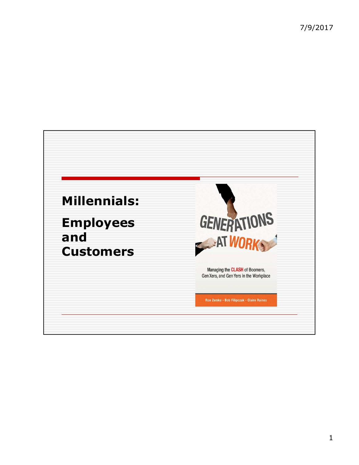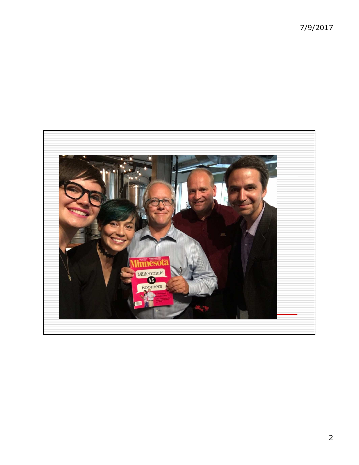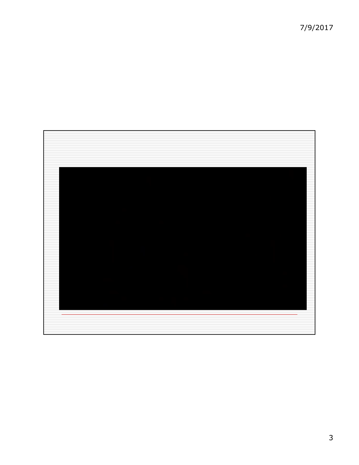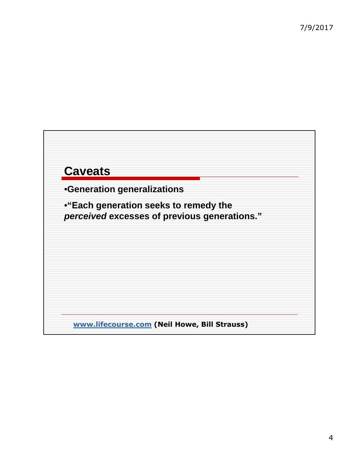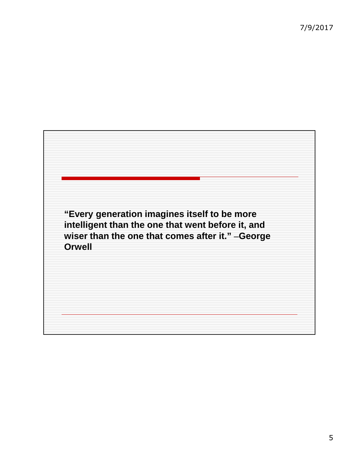

5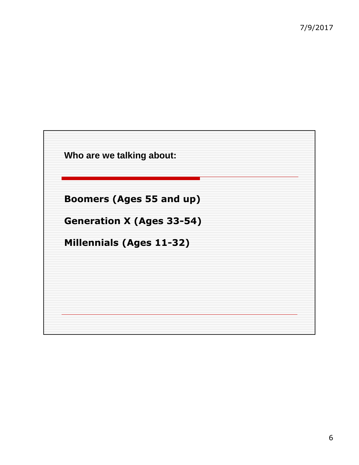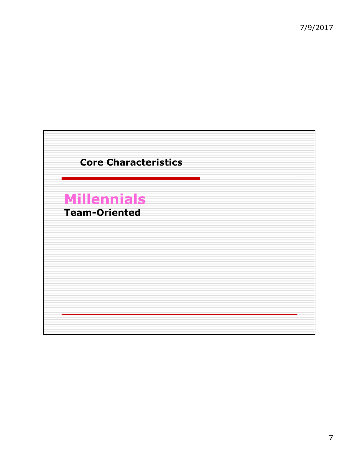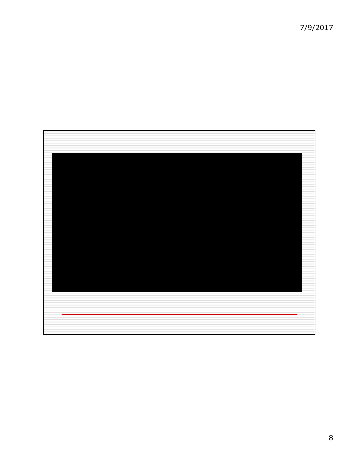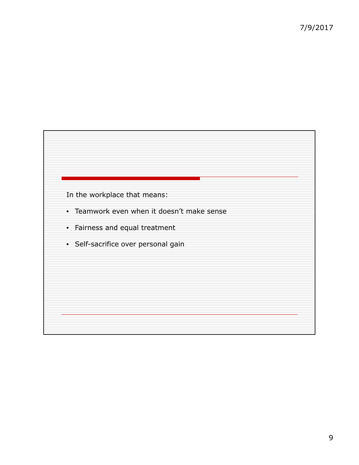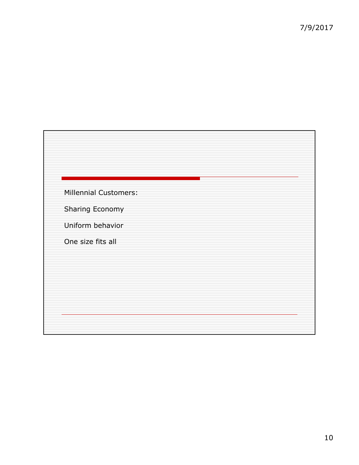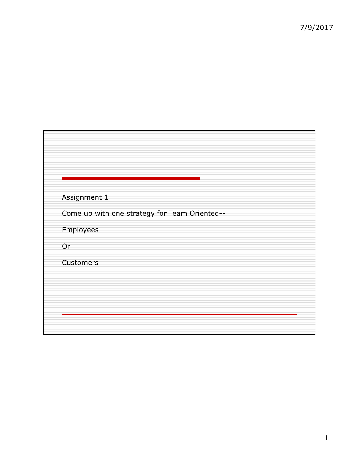| Assignment 1 |                                               |  |  |
|--------------|-----------------------------------------------|--|--|
|              | Come up with one strategy for Team Oriented-- |  |  |
| Employees    |                                               |  |  |
| Or           |                                               |  |  |
| Customers    |                                               |  |  |
|              |                                               |  |  |
|              |                                               |  |  |
|              |                                               |  |  |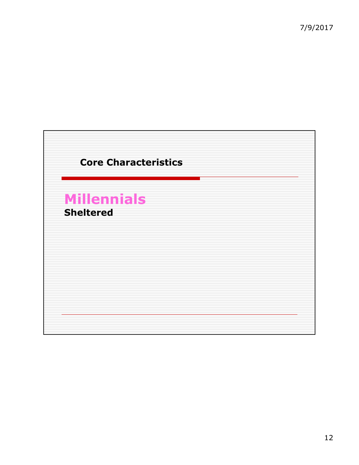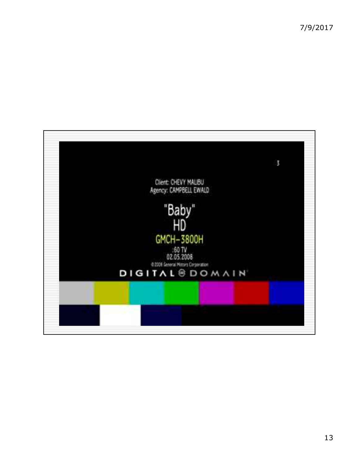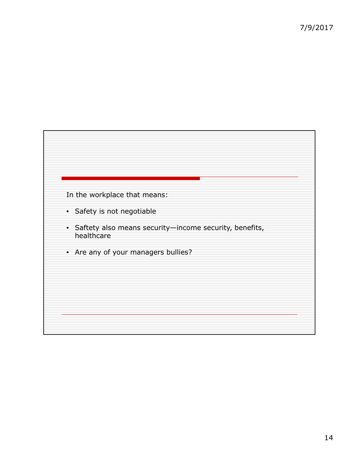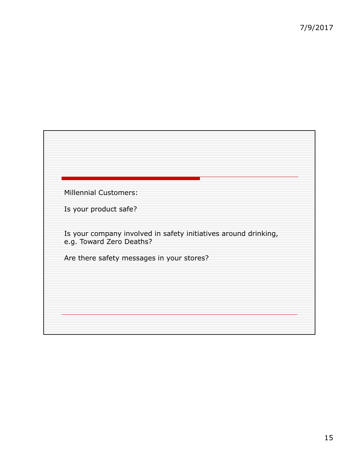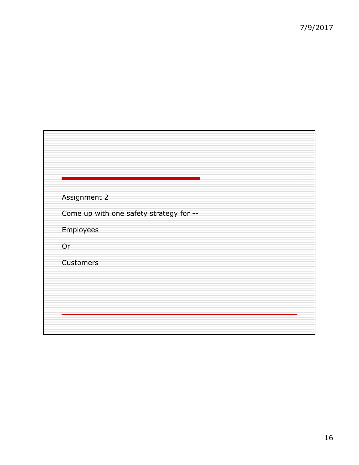$\overline{\phantom{a}}$ 

| Assignment 2                            |  |
|-----------------------------------------|--|
| Come up with one safety strategy for -- |  |
| Employees                               |  |
| Or                                      |  |
| Customers                               |  |
|                                         |  |
|                                         |  |
|                                         |  |
|                                         |  |
|                                         |  |

F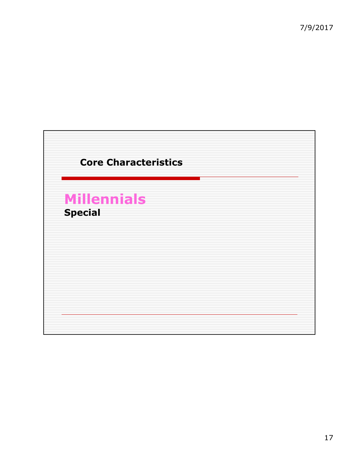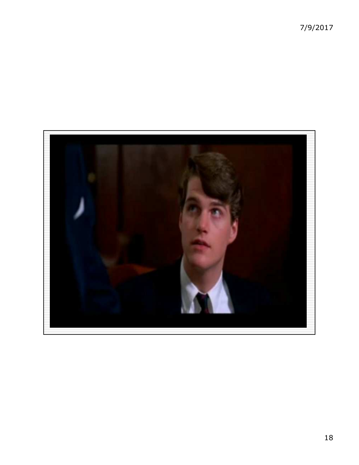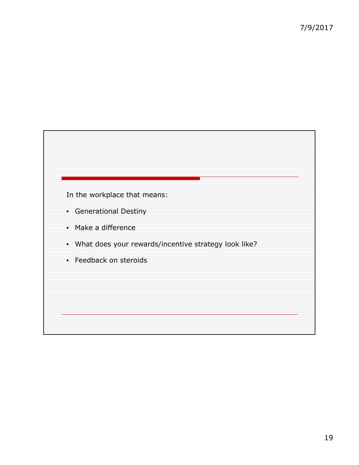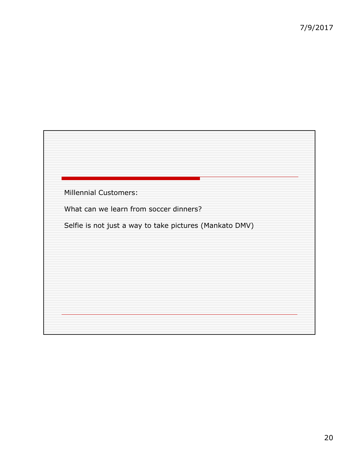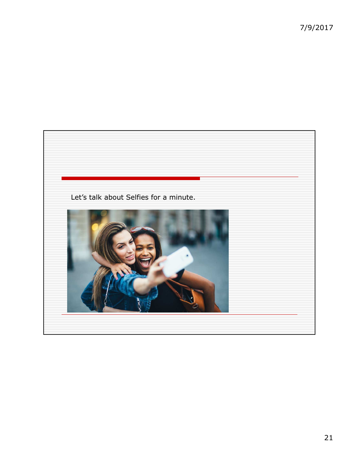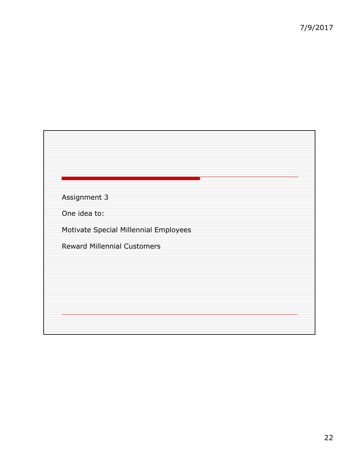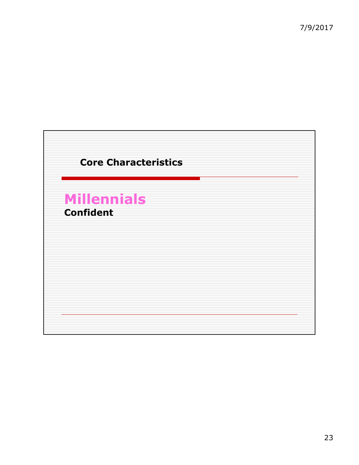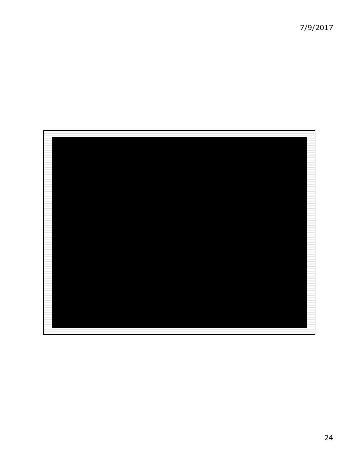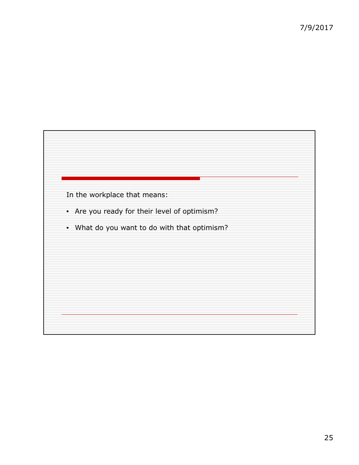

- Are you ready for their level of optimism?
- What do you want to do with that optimism?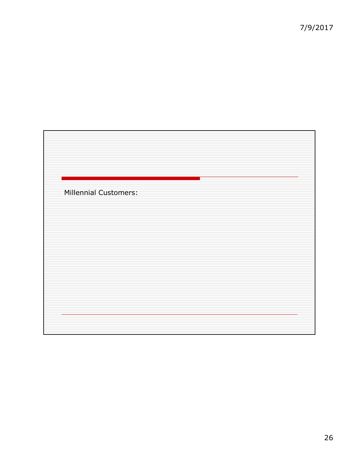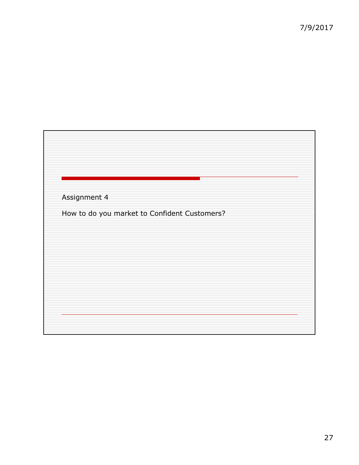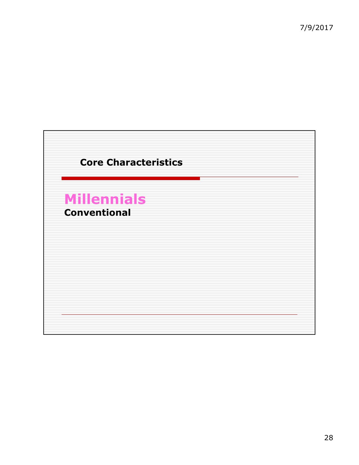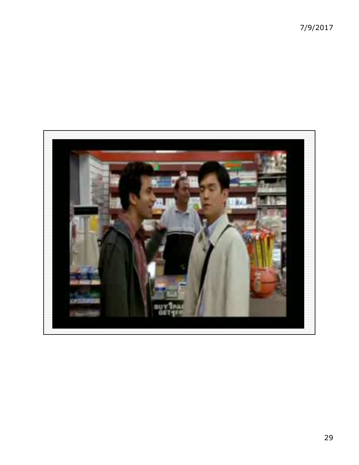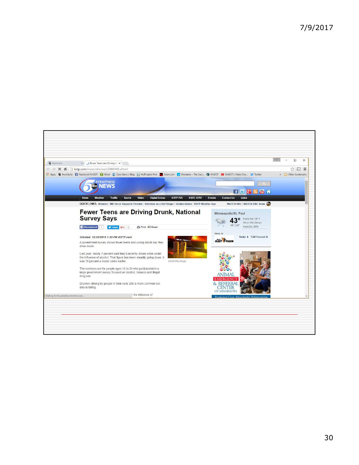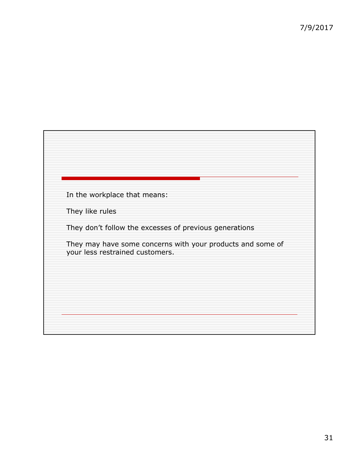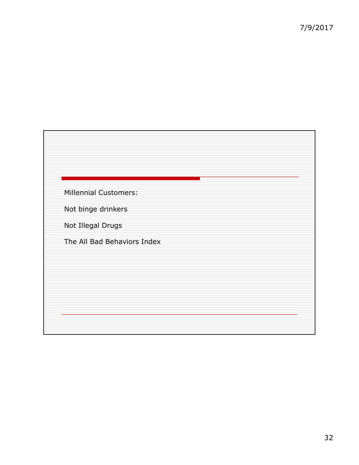

Not binge drinkers

Not Illegal Drugs

The All Bad Behaviors Index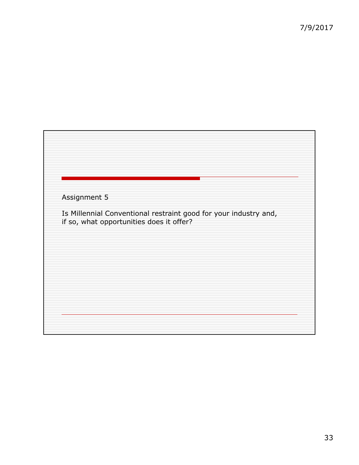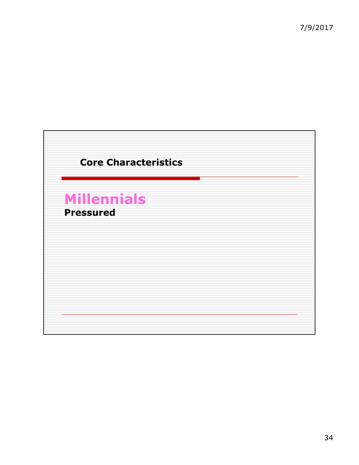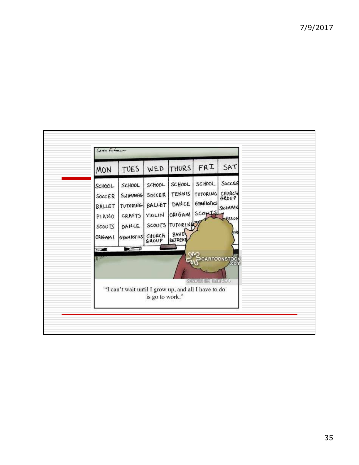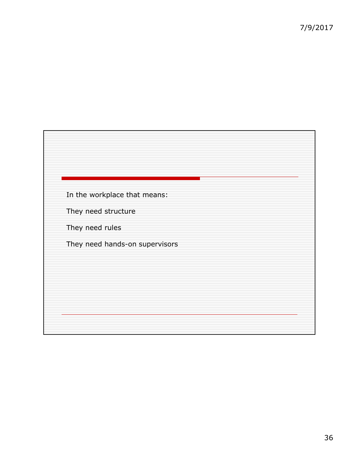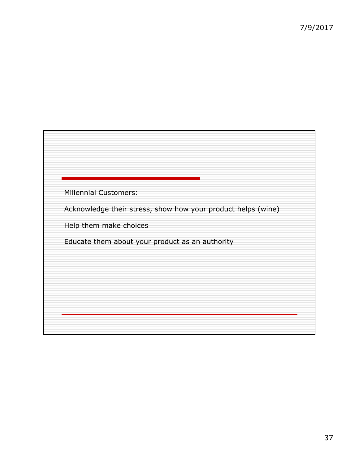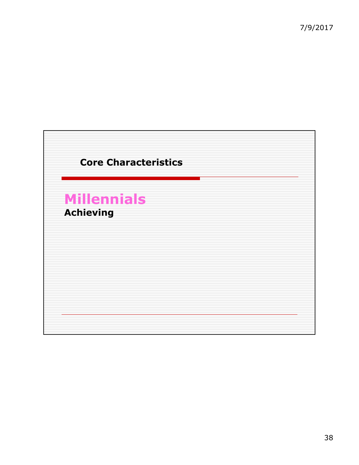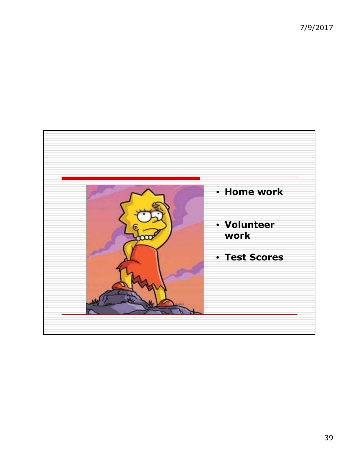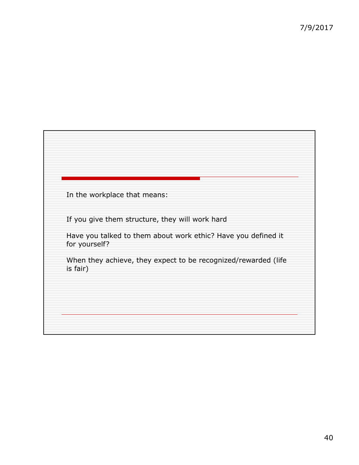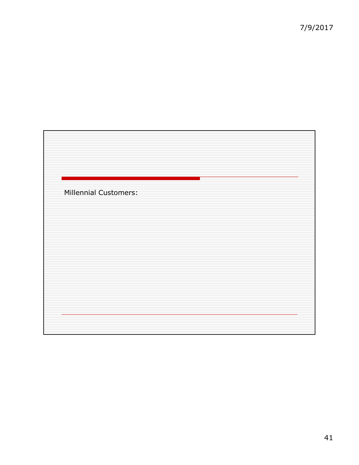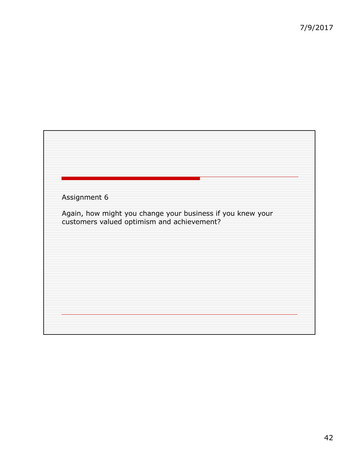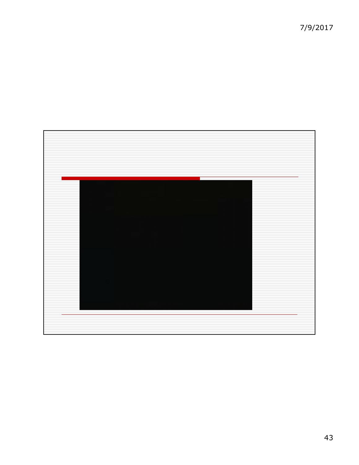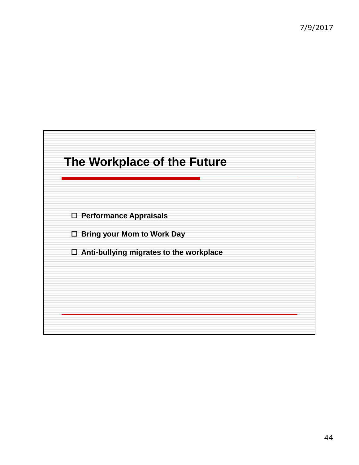## **The Workplace of the Future**

**Performance Appraisals**

**Bring your Mom to Work Day**

**Anti-bullying migrates to the workplace**